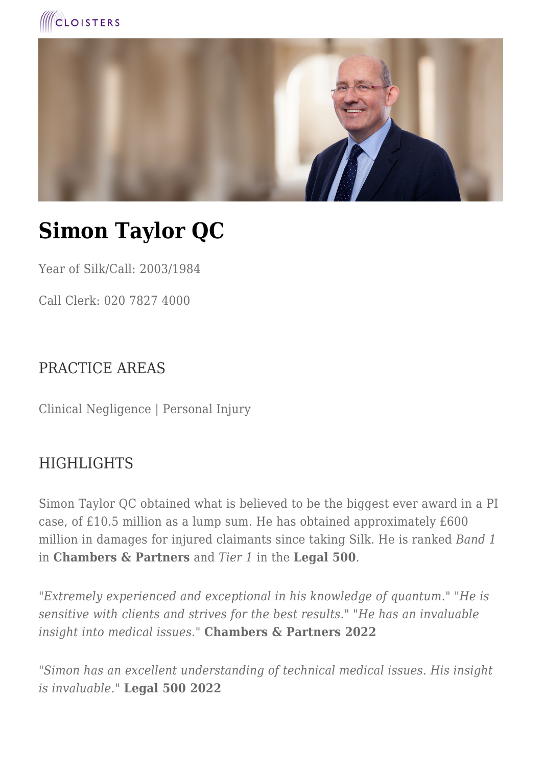



# **Simon Taylor QC**

Year of Silk/Call: 2003/1984

Call Clerk: 020 7827 4000

## PRACTICE AREAS

Clinical Negligence | Personal Injury

### **HIGHLIGHTS**

Simon Taylor QC obtained what is believed to be the biggest ever award in a PI case, of £10.5 million as a lump sum. He has obtained approximately £600 million in damages for injured claimants since taking Silk. He is ranked *Band 1* in **Chambers & Partners** and *Tier 1* in the **Legal 500**.

*"Extremely experienced and exceptional in his knowledge of quantum." "He is sensitive with clients and strives for the best results." "He has an invaluable insight into medical issues."* **Chambers & Partners 2022**

*"Simon has an excellent understanding of technical medical issues. His insight is invaluable."* **Legal 500 2022**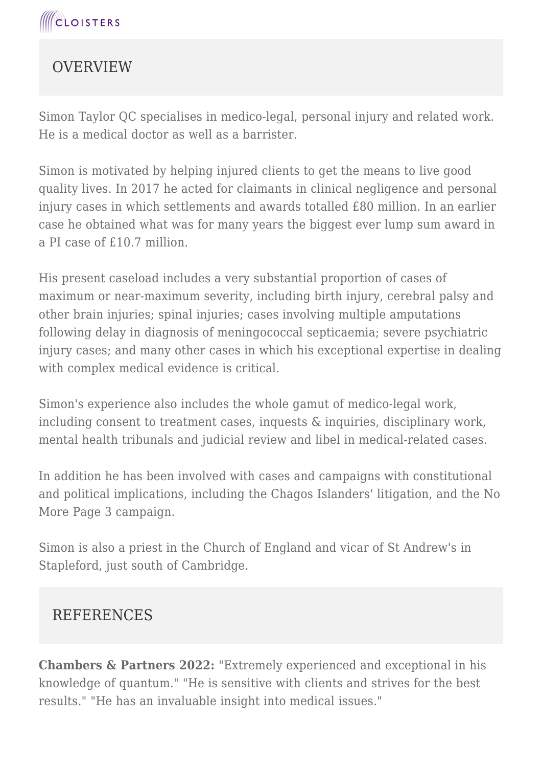## **OVERVIEW**

Simon Taylor QC specialises in medico-legal, personal injury and related work. He is a medical doctor as well as a barrister.

Simon is motivated by helping injured clients to get the means to live good quality lives. In 2017 he acted for claimants in clinical negligence and personal injury cases in which settlements and awards totalled £80 million. In an earlier case he obtained what was for many years the biggest ever lump sum award in a PI case of £10.7 million.

His present caseload includes a very substantial proportion of cases of maximum or near-maximum severity, including birth injury, cerebral palsy and other brain injuries; spinal injuries; cases involving multiple amputations following delay in diagnosis of meningococcal septicaemia; severe psychiatric injury cases; and many other cases in which his exceptional expertise in dealing with complex medical evidence is critical.

Simon's experience also includes the whole gamut of medico-legal work, including consent to treatment cases, inquests & inquiries, disciplinary work, mental health tribunals and judicial review and libel in medical-related cases.

In addition he has been involved with cases and campaigns with constitutional and political implications, including the Chagos Islanders' litigation, and the No More Page 3 campaign.

Simon is also a priest in the Church of England and vicar of St Andrew's in Stapleford, just south of Cambridge.

## **REFERENCES**

**Chambers & Partners 2022:** "Extremely experienced and exceptional in his knowledge of quantum." "He is sensitive with clients and strives for the best results." "He has an invaluable insight into medical issues."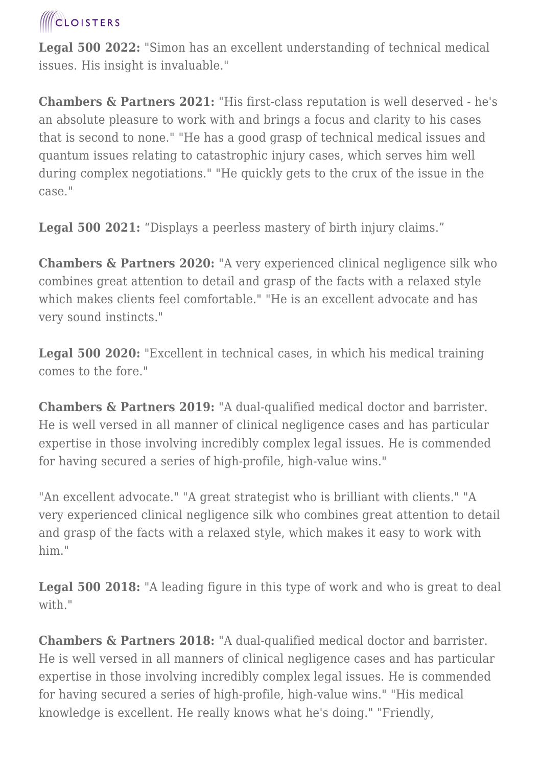## **CLOISTERS**

**Legal 500 2022:** "Simon has an excellent understanding of technical medical issues. His insight is invaluable."

**Chambers & Partners 2021:** "His first-class reputation is well deserved - he's an absolute pleasure to work with and brings a focus and clarity to his cases that is second to none." "He has a good grasp of technical medical issues and quantum issues relating to catastrophic injury cases, which serves him well during complex negotiations." "He quickly gets to the crux of the issue in the case."

**Legal 500 2021:** "Displays a peerless mastery of birth injury claims."

**Chambers & Partners 2020:** "A very experienced clinical negligence silk who combines great attention to detail and grasp of the facts with a relaxed style which makes clients feel comfortable." "He is an excellent advocate and has very sound instincts."

**Legal 500 2020:** "Excellent in technical cases, in which his medical training comes to the fore."

**Chambers & Partners 2019:** "A dual-qualified medical doctor and barrister. He is well versed in all manner of clinical negligence cases and has particular expertise in those involving incredibly complex legal issues. He is commended for having secured a series of high-profile, high-value wins."

"An excellent advocate." "A great strategist who is brilliant with clients." "A very experienced clinical negligence silk who combines great attention to detail and grasp of the facts with a relaxed style, which makes it easy to work with him."

**Legal 500 2018:** "A leading figure in this type of work and who is great to deal with."

**Chambers & Partners 2018:** "A dual-qualified medical doctor and barrister. He is well versed in all manners of clinical negligence cases and has particular expertise in those involving incredibly complex legal issues. He is commended for having secured a series of high-profile, high-value wins." "His medical knowledge is excellent. He really knows what he's doing." "Friendly,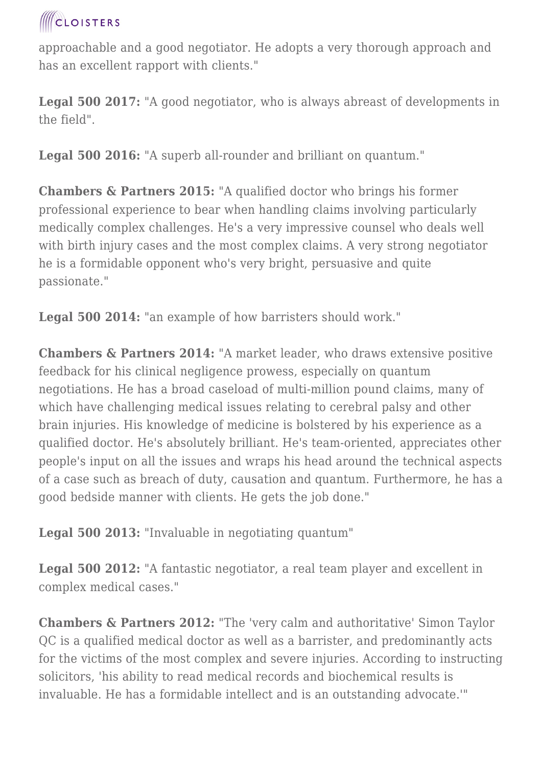

approachable and a good negotiator. He adopts a very thorough approach and has an excellent rapport with clients."

**Legal 500 2017:** "A good negotiator, who is always abreast of developments in the field".

Legal 500 2016: "A superb all-rounder and brilliant on quantum."

**Chambers & Partners 2015:** "A qualified doctor who brings his former professional experience to bear when handling claims involving particularly medically complex challenges. He's a very impressive counsel who deals well with birth injury cases and the most complex claims. A very strong negotiator he is a formidable opponent who's very bright, persuasive and quite passionate."

**Legal 500 2014:** "an example of how barristers should work."

**Chambers & Partners 2014:** "A market leader, who draws extensive positive feedback for his clinical negligence prowess, especially on quantum negotiations. He has a broad caseload of multi-million pound claims, many of which have challenging medical issues relating to cerebral palsy and other brain injuries. His knowledge of medicine is bolstered by his experience as a qualified doctor. He's absolutely brilliant. He's team-oriented, appreciates other people's input on all the issues and wraps his head around the technical aspects of a case such as breach of duty, causation and quantum. Furthermore, he has a good bedside manner with clients. He gets the job done."

**Legal 500 2013:** "Invaluable in negotiating quantum"

**Legal 500 2012:** "A fantastic negotiator, a real team player and excellent in complex medical cases."

**Chambers & Partners 2012:** "The 'very calm and authoritative' Simon Taylor QC is a qualified medical doctor as well as a barrister, and predominantly acts for the victims of the most complex and severe injuries. According to instructing solicitors, 'his ability to read medical records and biochemical results is invaluable. He has a formidable intellect and is an outstanding advocate.'"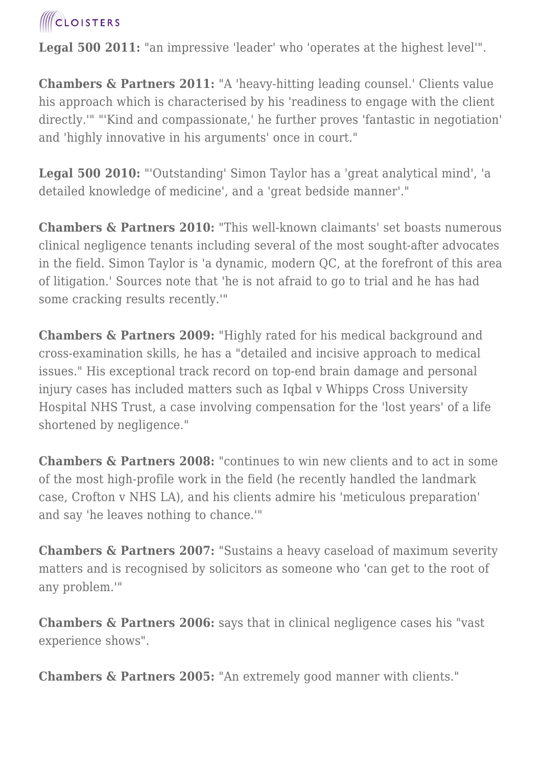

Legal 500 2011: "an impressive 'leader' who 'operates at the highest level'".

**Chambers & Partners 2011:** "A 'heavy-hitting leading counsel.' Clients value his approach which is characterised by his 'readiness to engage with the client directly.'" "'Kind and compassionate,' he further proves 'fantastic in negotiation' and 'highly innovative in his arguments' once in court."

**Legal 500 2010:** "'Outstanding' Simon Taylor has a 'great analytical mind', 'a detailed knowledge of medicine', and a 'great bedside manner'."

**Chambers & Partners 2010:** "This well-known claimants' set boasts numerous clinical negligence tenants including several of the most sought-after advocates in the field. Simon Taylor is 'a dynamic, modern QC, at the forefront of this area of litigation.' Sources note that 'he is not afraid to go to trial and he has had some cracking results recently.'"

**Chambers & Partners 2009:** "Highly rated for his medical background and cross-examination skills, he has a "detailed and incisive approach to medical issues." His exceptional track record on top-end brain damage and personal injury cases has included matters such as Iqbal v Whipps Cross University Hospital NHS Trust, a case involving compensation for the 'lost years' of a life shortened by negligence."

**Chambers & Partners 2008:** "continues to win new clients and to act in some of the most high-profile work in the field (he recently handled the landmark case, Crofton v NHS LA), and his clients admire his 'meticulous preparation' and say 'he leaves nothing to chance.'"

**Chambers & Partners 2007:** "Sustains a heavy caseload of maximum severity matters and is recognised by solicitors as someone who 'can get to the root of any problem.'"

**Chambers & Partners 2006:** says that in clinical negligence cases his "vast experience shows".

**Chambers & Partners 2005:** "An extremely good manner with clients."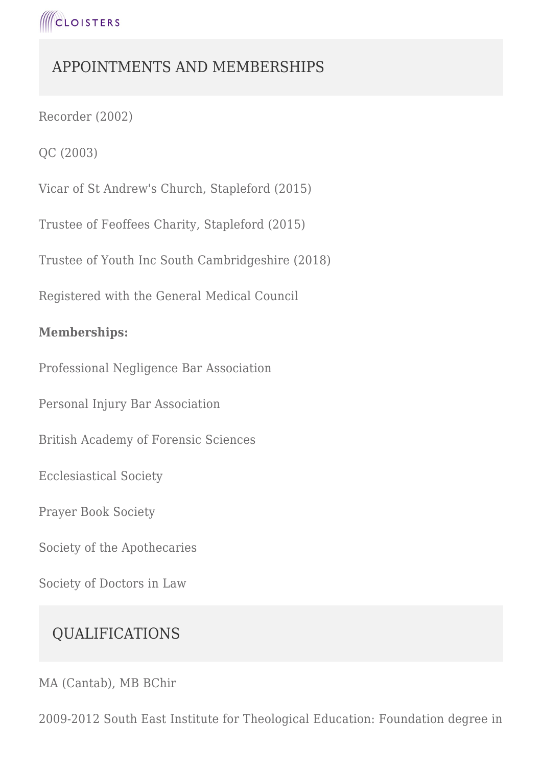

## APPOINTMENTS AND MEMBERSHIPS

Recorder (2002)

QC (2003)

Vicar of St Andrew's Church, Stapleford (2015)

Trustee of Feoffees Charity, Stapleford (2015)

Trustee of Youth Inc South Cambridgeshire (2018)

Registered with the General Medical Council

#### **Memberships:**

Professional Negligence Bar Association

Personal Injury Bar Association

British Academy of Forensic Sciences

Ecclesiastical Society

Prayer Book Society

Society of the Apothecaries

Society of Doctors in Law

## QUALIFICATIONS

MA (Cantab), MB BChir

2009-2012 South East Institute for Theological Education: Foundation degree in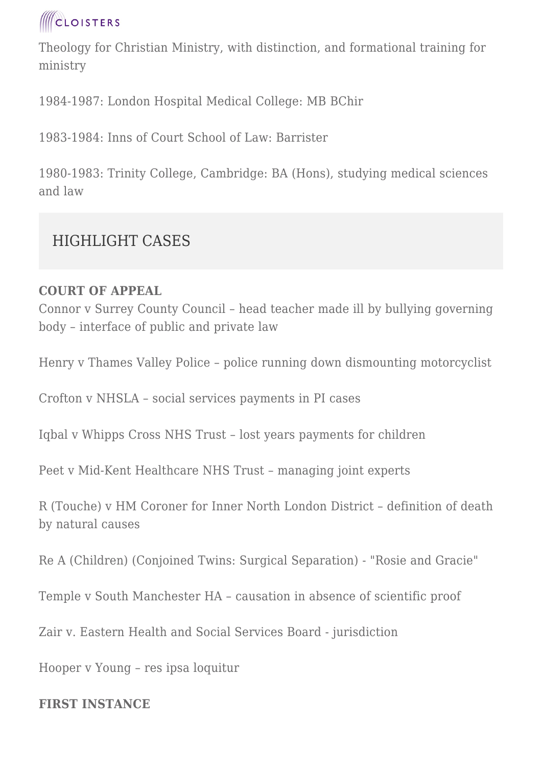

Theology for Christian Ministry, with distinction, and formational training for ministry

1984-1987: London Hospital Medical College: MB BChir

1983-1984: Inns of Court School of Law: Barrister

1980-1983: Trinity College, Cambridge: BA (Hons), studying medical sciences and law

## HIGHLIGHT CASES

#### **COURT OF APPEAL**

Connor v Surrey County Council – head teacher made ill by bullying governing body – interface of public and private law

Henry v Thames Valley Police – police running down dismounting motorcyclist

Crofton v NHSLA – social services payments in PI cases

Iqbal v Whipps Cross NHS Trust – lost years payments for children

Peet v Mid-Kent Healthcare NHS Trust – managing joint experts

R (Touche) v HM Coroner for Inner North London District – definition of death by natural causes

Re A (Children) (Conjoined Twins: Surgical Separation) - "Rosie and Gracie"

Temple v South Manchester HA – causation in absence of scientific proof

Zair v. Eastern Health and Social Services Board - jurisdiction

Hooper v Young – res ipsa loquitur

#### **FIRST INSTANCE**